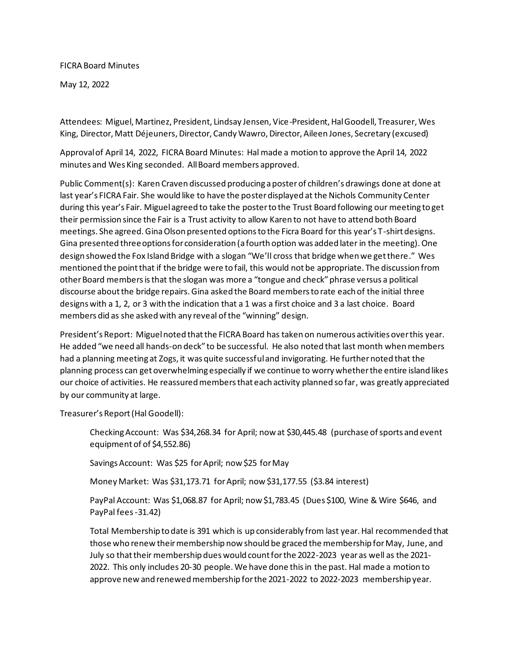FICRA Board Minutes May 12, 2022

Attendees: Miguel, Martinez, President, Lindsay Jensen, Vice-President, Hal Goodell, Treasurer, Wes King, Director, Matt Déjeuners, Director, Candy Wawro, Director, Aileen Jones, Secretary (excused)

Approval of April 14, 2022, FICRA Board Minutes: Hal made a motion to approve the April 14, 2022 minutes and Wes King seconded. All Board members approved.

Public Comment(s): Karen Craven discussed producing a poster of children's drawings done at done at last year's FICRA Fair. She would like to have the poster displayed at the Nichols Community Center during this year's Fair. Miguel agreed to take the poster to the Trust Board following our meeting to get their permission since the Fair is a Trust activity to allow Karen to not have to attend both Board meetings. She agreed. Gina Olson presented options to the Ficra Board for this year's T-shirt designs. Gina presented three options for consideration (a fourth option was added later in the meeting). One design showed the Fox Island Bridge with a slogan "We'll cross that bridge when we get there." Wes mentioned the point that if the bridge were to fail, this would not be appropriate. The discussion from other Board members is that the slogan was more a "tongue and check" phrase versus a political discourse about the bridge repairs. Gina asked the Board members to rate each of the initial three designs with a 1, 2, or 3 with the indication that a 1 was a first choice and 3 a last choice. Board members did as she asked with any reveal of the "winning" design.

President's Report: Miguel noted that the FICRA Board has taken on numerous activities over this year. He added "we need all hands-on deck" to be successful. He also noted that last month when members had a planning meeting at Zogs, it was quite successful and invigorating. He further noted that the planning process can get overwhelming especially if we continue to worry whether the entire island likes our choice of activities. He reassured members that each activity planned so far, was greatly appreciated by our community at large.

Treasurer's Report (Hal Goodell):

Checking Account: Was \$34,268.34 for April; now at \$30,445.48 (purchase of sports and event equipment of of \$4,552.86)

Savings Account: Was \$25 for April; now \$25 for May

Money Market: Was \$31,173.71 for April; now \$31,177.55 (\$3.84 interest)

PayPal Account: Was \$1,068.87 for April; now \$1,783.45 (Dues \$100, Wine & Wire \$646, and PayPal fees -31.42)

Total Membership to date is 391 which is up considerably from last year. Hal recommended that those who renew their membership now should be graced the membership for May, June, and July so that their membership dues would count for the 2022-2023 year as well as the 2021- 2022. This only includes 20-30 people. We have done this in the past. Hal made a motion to approve new and renewed membership for the 2021-2022 to 2022-2023 membership year.